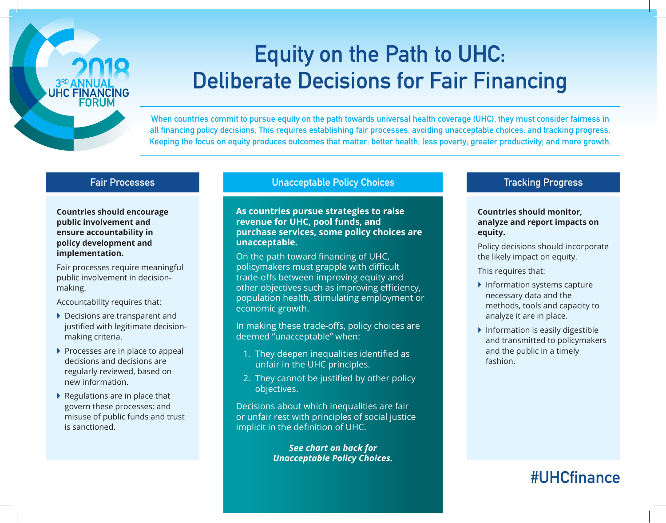

# Equity on the Path to UHC: Deliberate Decisions for Fair Financing

When countries commit to pursue equity on the path towards universal health coverage (UHC), they must consider fairness in all financing policy decisions. This requires establishing fair processes, avoiding unacceptable choices, and tracking progress. Keeping the focus on equity produces outcomes that matter: better health; less poverty; greater productivity; and more growth.

#### Fair Processes

**Countries should encourage public involvement and ensure accountability in policy development and implementation.**

Fair processes require meaningful public involvement in decisionmaking.

Accountability requires that:

- ▶ Decisions are transparent and justified with legitimate decisionmaking criteria.
- $\triangleright$  Processes are in place to appeal decisions and decisions are regularly reviewed, based on new information.
- $\blacktriangleright$  Regulations are in place that govern these processes; and misuse of public funds and trust is sanctioned.

#### Unacceptable Policy Choices

**As countries pursue strategies to raise revenue for UHC, pool funds, and purchase services, some policy choices are unacceptable.** 

On the path toward financing of UHC, policymakers must grapple with difficult trade-offs between improving equity and other objectives such as improving efficiency, population health, stimulating employment or economic growth.

In making these trade-offs, policy choices are deemed "unacceptable" when:

- 1. They deepen inequalities identified as unfair in the UHC principles.
- 2. They cannot be justified by other policy objectives.

Decisions about which inequalities are fair or unfair rest with principles of social justice implicit in the definition of UHC.

> *See chart on back for Unacceptable Policy Choices.*

#### Tracking Progress

#### **Countries should monitor, analyze and report impacts on equity.**

Policy decisions should incorporate the likely impact on equity.

This requires that:

- $\blacktriangleright$  Information systems capture necessary data and the methods, tools and capacity to analyze it are in place.
- $\blacktriangleright$  Information is easily digestible and transmitted to policymakers and the public in a timely fashion.

## #UHCfinance